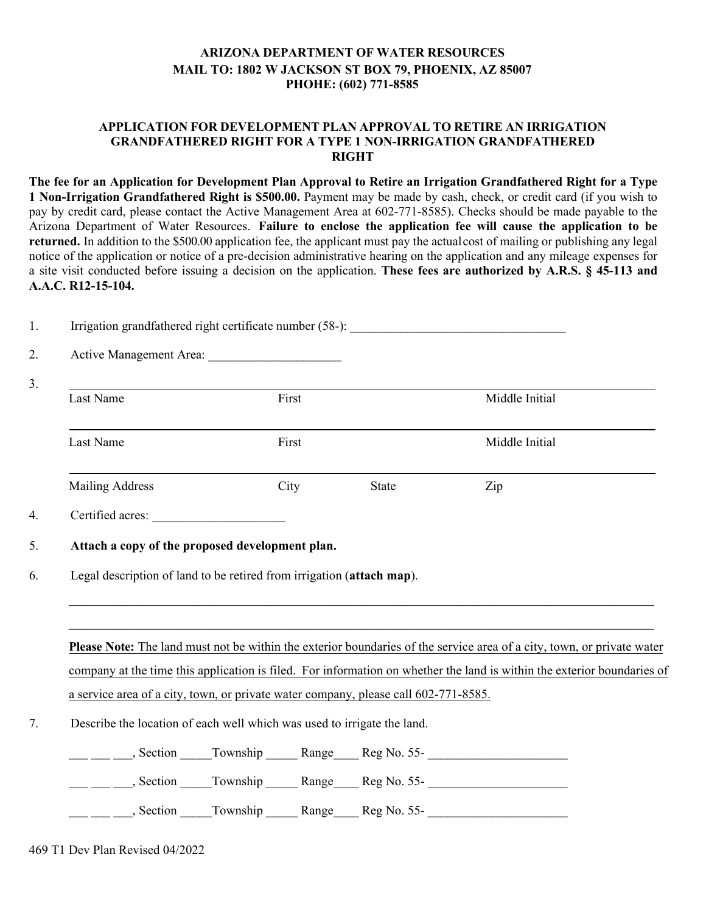## **ARIZONA DEPARTMENT OF WATER RESOURCES MAIL TO: 1802 W JACKSON ST BOX 79, PHOENIX, AZ 85007 PHOHE: (602) 771-8585**

## **APPLICATION FOR DEVELOPMENT PLAN APPROVAL TO RETIRE AN IRRIGATION GRANDFATHERED RIGHT FOR A TYPE 1 NON-IRRIGATION GRANDFATHERED RIGHT**

**The fee for an Application for Development Plan Approval to Retire an Irrigation Grandfathered Right for a Type 1 Non-Irrigation Grandfathered Right is \$500.00.** Payment may be made by cash, check, or credit card (if you wish to pay by credit card, please contact the Active Management Area at 602-771-8585). Checks should be made payable to the Arizona Department of Water Resources. **Failure to enclose the application fee will cause the application to be returned.** In addition to the \$500.00 application fee, the applicant must pay the actualcost of mailing or publishing any legal notice of the application or notice of a pre-decision administrative hearing on the application and any mileage expenses for a site visit conducted before issuing a decision on the application. **These fees are authorized by A.R.S. § 45-113 and A.A.C. R12-15-104.** 

| Last Name                                                                                                                                                                                                                                                                                                                    | First                                           |       | Middle Initial                                                                                                                                                                                                                                    |
|------------------------------------------------------------------------------------------------------------------------------------------------------------------------------------------------------------------------------------------------------------------------------------------------------------------------------|-------------------------------------------------|-------|---------------------------------------------------------------------------------------------------------------------------------------------------------------------------------------------------------------------------------------------------|
| Last Name                                                                                                                                                                                                                                                                                                                    | First                                           |       | Middle Initial                                                                                                                                                                                                                                    |
| <b>Mailing Address</b>                                                                                                                                                                                                                                                                                                       | City                                            | State | Zip                                                                                                                                                                                                                                               |
|                                                                                                                                                                                                                                                                                                                              |                                                 |       |                                                                                                                                                                                                                                                   |
|                                                                                                                                                                                                                                                                                                                              | Attach a copy of the proposed development plan. |       |                                                                                                                                                                                                                                                   |
|                                                                                                                                                                                                                                                                                                                              |                                                 |       |                                                                                                                                                                                                                                                   |
|                                                                                                                                                                                                                                                                                                                              |                                                 |       | Please Note: The land must not be within the exterior boundaries of the service area of a city, town, or private water<br>company at the time this application is filed. For information on whether the land is within the exterior boundaries of |
|                                                                                                                                                                                                                                                                                                                              |                                                 |       |                                                                                                                                                                                                                                                   |
|                                                                                                                                                                                                                                                                                                                              |                                                 |       |                                                                                                                                                                                                                                                   |
|                                                                                                                                                                                                                                                                                                                              |                                                 |       |                                                                                                                                                                                                                                                   |
| Legal description of land to be retired from irrigation (attach map).<br>a service area of a city, town, or private water company, please call 602-771-8585.<br>Describe the location of each well which was used to irrigate the land.<br>__ __ __, Section ______ Township _______ Range _____ Reg No. 55- _______________ |                                                 |       |                                                                                                                                                                                                                                                   |